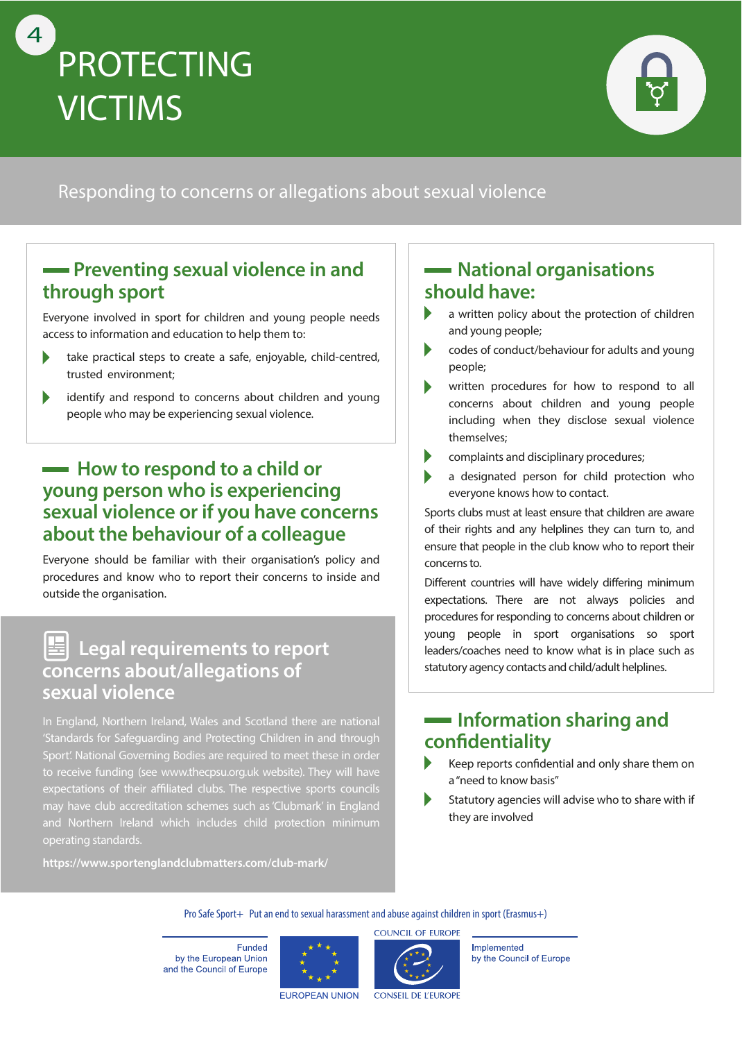



### Responding to concerns or allegations about sexual violence

### **Preventing sexual violence in and through sport**

Everyone involved in sport for children and young people needs access to information and education to help them to:

- take practical steps to create a safe, enjoyable, child-centred,  $\blacktriangleright$ trusted environment;
- $\blacktriangleright$ identify and respond to concerns about children and young people who may be experiencing sexual violence.

### **How to respond to a child or young person who is experiencing sexual violence or if you have concerns about the behaviour of a colleague**

Everyone should be familiar with their organisation's policy and procedures and know who to report their concerns to inside and outside the organisation.

### **| Legal requirements to report concerns about/allegations of sexual violence**

In England, Northern Ireland, Wales and Scotland there are national 'Standards for Safeguarding and Protecting Children in and through Sport'. National Governing Bodies are required to meet these in order to receive funding (see www.thecpsu.org.uk website). They will have expectations of their affiliated clubs. The respective sports councils may have club accreditation schemes such as 'Clubmark' in England and Northern Ireland which includes child protection minimum operating standards.

**https://www.sportenglandclubmatters.com/club-mark/**

### **National organisations should have:**

- a written policy about the protection of children and young people;
- codes of conduct/behaviour for adults and young people;
- written procedures for how to respond to all concerns about children and young people including when they disclose sexual violence themselves;
- complaints and disciplinary procedures;
- a designated person for child protection who everyone knows how to contact.

Sports clubs must at least ensure that children are aware of their rights and any helplines they can turn to, and ensure that people in the club know who to report their concerns to.

Different countries will have widely differing minimum expectations. There are not always policies and procedures for responding to concerns about children or young people in sport organisations so sport leaders/coaches need to know what is in place such as statutory agency contacts and child/adult helplines.

### **Information sharing and confidentiality**

- Keep reports confidential and only share them on a "need to know basis"
- Statutory agencies will advise who to share with if they are involved

Pro Safe Sport+ Put an end to sexual harassment and abuse against children in sport (Erasmus+)

**Funded** by the European Union and the Council of Europe





Implemented by the Council of Europe

**EUROPEAN UNION** 

CONSEIL DE L'EUROPE